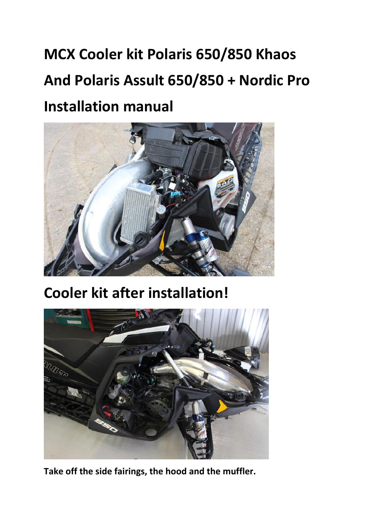## **MCX Cooler kit Polaris 650/850 Khaos And Polaris Assult 650/850 + Nordic Pro Installation manual**



**Cooler kit after installation!**



**Take off the side fairings, the hood and the muffler.**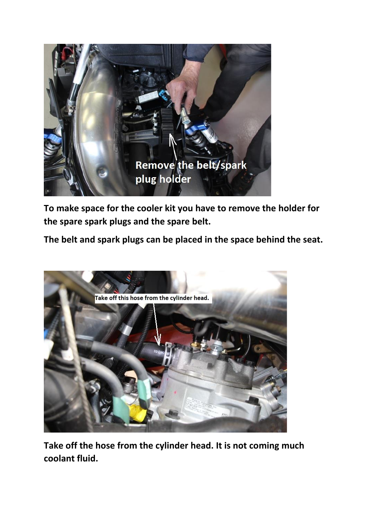

**To make space for the cooler kit you have to remove the holder for the spare spark plugs and the spare belt.**

**The belt and spark plugs can be placed in the space behind the seat.**



**Take off the hose from the cylinder head. It is not coming much coolant fluid.**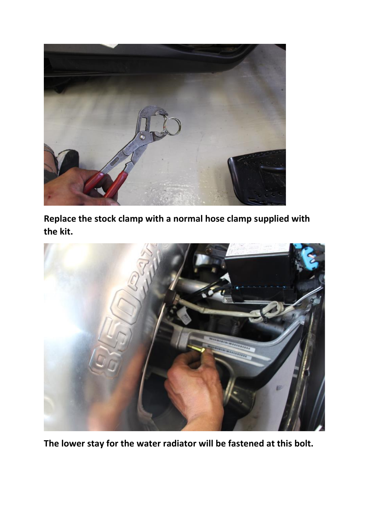

**Replace the stock clamp with a normal hose clamp supplied with the kit.**



**The lower stay for the water radiator will be fastened at this bolt.**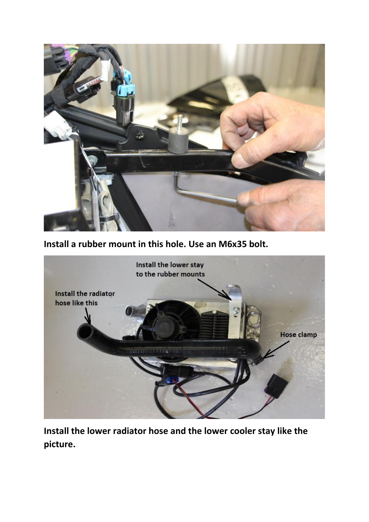

**Install a rubber mount in this hole. Use an M6x35 bolt.**



**Install the lower radiator hose and the lower cooler stay like the picture.**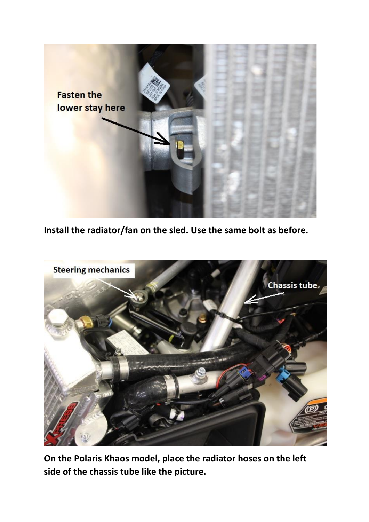

**Install the radiator/fan on the sled. Use the same bolt as before.**



**On the Polaris Khaos model, place the radiator hoses on the left side of the chassis tube like the picture.**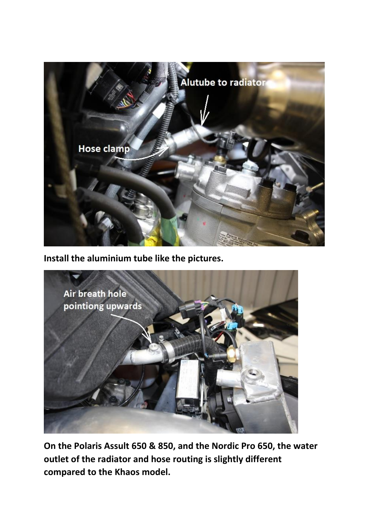

**Install the aluminium tube like the pictures.**



**On the Polaris Assult 650 & 850, and the Nordic Pro 650, the water outlet of the radiator and hose routing is slightly different compared to the Khaos model.**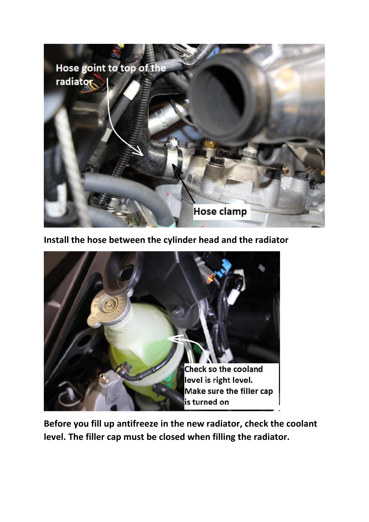

**Install the hose between the cylinder head and the radiator**



**Before you fill up antifreeze in the new radiator, check the coolant level. The filler cap must be closed when filling the radiator.**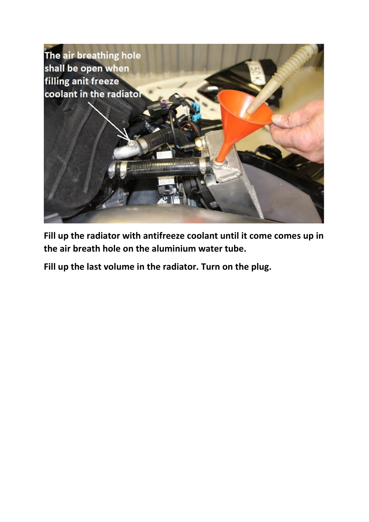

**Fill up the radiator with antifreeze coolant until it come comes up in the air breath hole on the aluminium water tube.**

**Fill up the last volume in the radiator. Turn on the plug.**